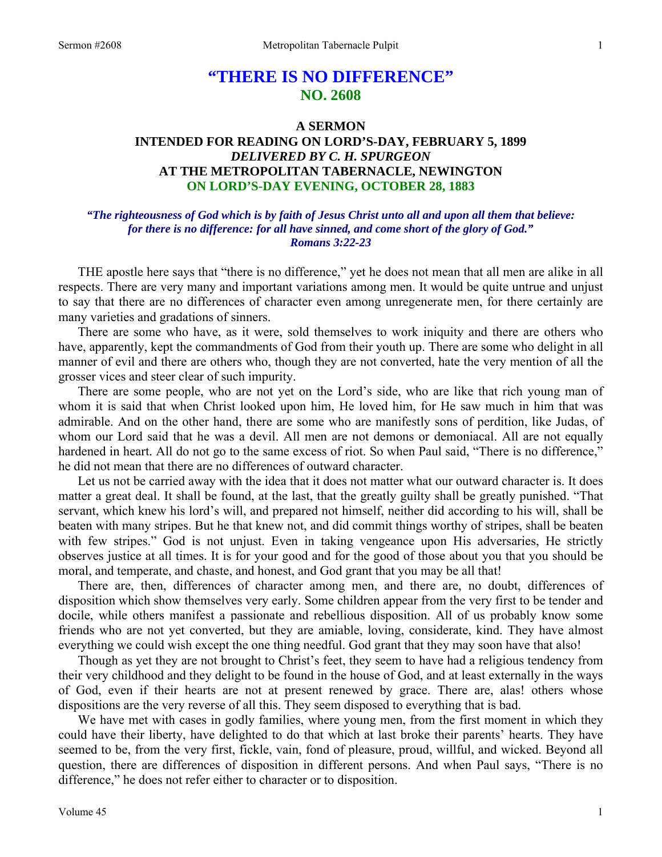# **"THERE IS NO DIFFERENCE" NO. 2608**

## **A SERMON INTENDED FOR READING ON LORD'S-DAY, FEBRUARY 5, 1899**  *DELIVERED BY C. H. SPURGEON*  **AT THE METROPOLITAN TABERNACLE, NEWINGTON ON LORD'S-DAY EVENING, OCTOBER 28, 1883**

## *"The righteousness of God which is by faith of Jesus Christ unto all and upon all them that believe: for there is no difference: for all have sinned, and come short of the glory of God." Romans 3:22-23*

THE apostle here says that "there is no difference," yet he does not mean that all men are alike in all respects. There are very many and important variations among men. It would be quite untrue and unjust to say that there are no differences of character even among unregenerate men, for there certainly are many varieties and gradations of sinners.

 There are some who have, as it were, sold themselves to work iniquity and there are others who have, apparently, kept the commandments of God from their youth up. There are some who delight in all manner of evil and there are others who, though they are not converted, hate the very mention of all the grosser vices and steer clear of such impurity.

 There are some people, who are not yet on the Lord's side, who are like that rich young man of whom it is said that when Christ looked upon him, He loved him, for He saw much in him that was admirable. And on the other hand, there are some who are manifestly sons of perdition, like Judas, of whom our Lord said that he was a devil. All men are not demons or demoniacal. All are not equally hardened in heart. All do not go to the same excess of riot. So when Paul said, "There is no difference," he did not mean that there are no differences of outward character.

 Let us not be carried away with the idea that it does not matter what our outward character is. It does matter a great deal. It shall be found, at the last, that the greatly guilty shall be greatly punished. "That servant, which knew his lord's will, and prepared not himself, neither did according to his will, shall be beaten with many stripes. But he that knew not, and did commit things worthy of stripes, shall be beaten with few stripes." God is not unjust. Even in taking vengeance upon His adversaries, He strictly observes justice at all times. It is for your good and for the good of those about you that you should be moral, and temperate, and chaste, and honest, and God grant that you may be all that!

 There are, then, differences of character among men, and there are, no doubt, differences of disposition which show themselves very early. Some children appear from the very first to be tender and docile, while others manifest a passionate and rebellious disposition. All of us probably know some friends who are not yet converted, but they are amiable, loving, considerate, kind. They have almost everything we could wish except the one thing needful. God grant that they may soon have that also!

 Though as yet they are not brought to Christ's feet, they seem to have had a religious tendency from their very childhood and they delight to be found in the house of God, and at least externally in the ways of God, even if their hearts are not at present renewed by grace. There are, alas! others whose dispositions are the very reverse of all this. They seem disposed to everything that is bad.

We have met with cases in godly families, where young men, from the first moment in which they could have their liberty, have delighted to do that which at last broke their parents' hearts. They have seemed to be, from the very first, fickle, vain, fond of pleasure, proud, willful, and wicked. Beyond all question, there are differences of disposition in different persons. And when Paul says, "There is no difference," he does not refer either to character or to disposition.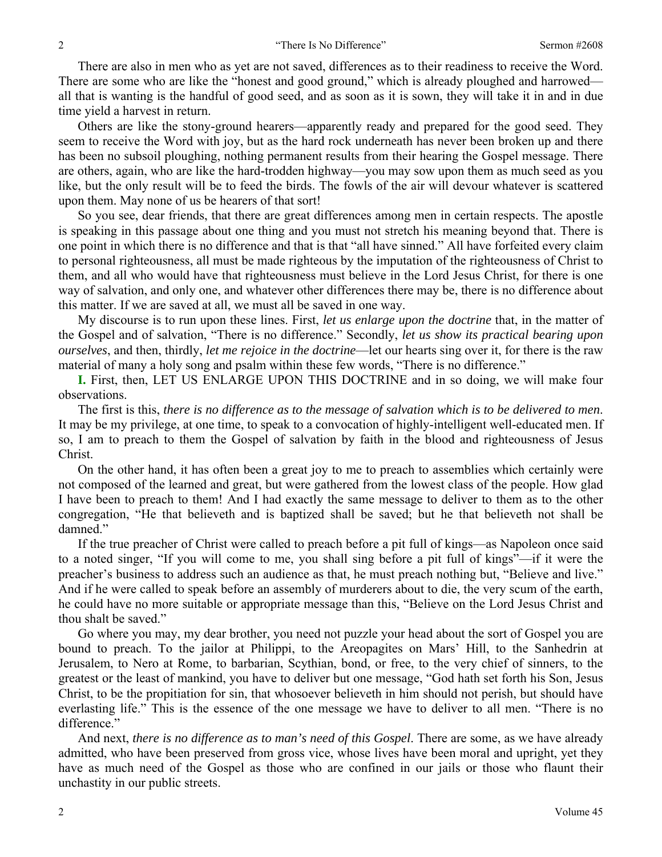There are also in men who as yet are not saved, differences as to their readiness to receive the Word. There are some who are like the "honest and good ground," which is already ploughed and harrowed all that is wanting is the handful of good seed, and as soon as it is sown, they will take it in and in due time yield a harvest in return.

 Others are like the stony-ground hearers—apparently ready and prepared for the good seed. They seem to receive the Word with joy, but as the hard rock underneath has never been broken up and there has been no subsoil ploughing, nothing permanent results from their hearing the Gospel message. There are others, again, who are like the hard-trodden highway—you may sow upon them as much seed as you like, but the only result will be to feed the birds. The fowls of the air will devour whatever is scattered upon them. May none of us be hearers of that sort!

 So you see, dear friends, that there are great differences among men in certain respects. The apostle is speaking in this passage about one thing and you must not stretch his meaning beyond that. There is one point in which there is no difference and that is that "all have sinned." All have forfeited every claim to personal righteousness, all must be made righteous by the imputation of the righteousness of Christ to them, and all who would have that righteousness must believe in the Lord Jesus Christ, for there is one way of salvation, and only one, and whatever other differences there may be, there is no difference about this matter. If we are saved at all, we must all be saved in one way.

 My discourse is to run upon these lines. First, *let us enlarge upon the doctrine* that, in the matter of the Gospel and of salvation, "There is no difference." Secondly, *let us show its practical bearing upon ourselves*, and then, thirdly, *let me rejoice in the doctrine*—let our hearts sing over it, for there is the raw material of many a holy song and psalm within these few words, "There is no difference."

**I.** First, then, LET US ENLARGE UPON THIS DOCTRINE and in so doing, we will make four observations.

 The first is this, *there is no difference as to the message of salvation which is to be delivered to men*. It may be my privilege, at one time, to speak to a convocation of highly-intelligent well-educated men. If so, I am to preach to them the Gospel of salvation by faith in the blood and righteousness of Jesus Christ.

 On the other hand, it has often been a great joy to me to preach to assemblies which certainly were not composed of the learned and great, but were gathered from the lowest class of the people. How glad I have been to preach to them! And I had exactly the same message to deliver to them as to the other congregation, "He that believeth and is baptized shall be saved; but he that believeth not shall be damned."

 If the true preacher of Christ were called to preach before a pit full of kings—as Napoleon once said to a noted singer, "If you will come to me, you shall sing before a pit full of kings"—if it were the preacher's business to address such an audience as that, he must preach nothing but, "Believe and live." And if he were called to speak before an assembly of murderers about to die, the very scum of the earth, he could have no more suitable or appropriate message than this, "Believe on the Lord Jesus Christ and thou shalt be saved."

 Go where you may, my dear brother, you need not puzzle your head about the sort of Gospel you are bound to preach. To the jailor at Philippi, to the Areopagites on Mars' Hill, to the Sanhedrin at Jerusalem, to Nero at Rome, to barbarian, Scythian, bond, or free, to the very chief of sinners, to the greatest or the least of mankind, you have to deliver but one message, "God hath set forth his Son, Jesus Christ, to be the propitiation for sin, that whosoever believeth in him should not perish, but should have everlasting life." This is the essence of the one message we have to deliver to all men. "There is no difference."

 And next, *there is no difference as to man's need of this Gospel*. There are some, as we have already admitted, who have been preserved from gross vice, whose lives have been moral and upright, yet they have as much need of the Gospel as those who are confined in our jails or those who flaunt their unchastity in our public streets.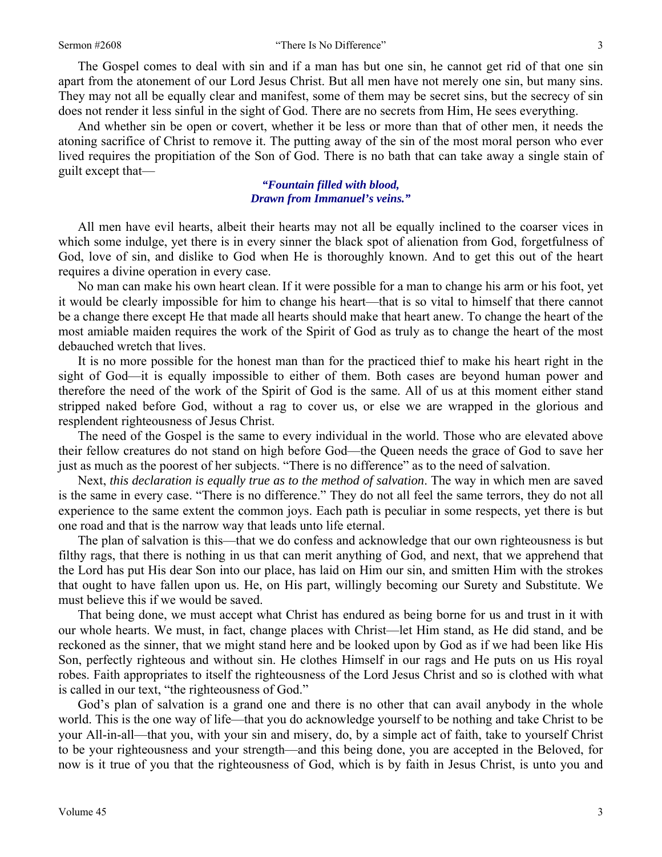#### Sermon #2608 **3** There Is No Difference" 3

 The Gospel comes to deal with sin and if a man has but one sin, he cannot get rid of that one sin apart from the atonement of our Lord Jesus Christ. But all men have not merely one sin, but many sins. They may not all be equally clear and manifest, some of them may be secret sins, but the secrecy of sin does not render it less sinful in the sight of God. There are no secrets from Him, He sees everything.

 And whether sin be open or covert, whether it be less or more than that of other men, it needs the atoning sacrifice of Christ to remove it. The putting away of the sin of the most moral person who ever lived requires the propitiation of the Son of God. There is no bath that can take away a single stain of guilt except that—

> *"Fountain filled with blood, Drawn from Immanuel's veins."*

All men have evil hearts, albeit their hearts may not all be equally inclined to the coarser vices in which some indulge, yet there is in every sinner the black spot of alienation from God, forgetfulness of God, love of sin, and dislike to God when He is thoroughly known. And to get this out of the heart requires a divine operation in every case.

 No man can make his own heart clean. If it were possible for a man to change his arm or his foot, yet it would be clearly impossible for him to change his heart—that is so vital to himself that there cannot be a change there except He that made all hearts should make that heart anew. To change the heart of the most amiable maiden requires the work of the Spirit of God as truly as to change the heart of the most debauched wretch that lives.

 It is no more possible for the honest man than for the practiced thief to make his heart right in the sight of God—it is equally impossible to either of them. Both cases are beyond human power and therefore the need of the work of the Spirit of God is the same. All of us at this moment either stand stripped naked before God, without a rag to cover us, or else we are wrapped in the glorious and resplendent righteousness of Jesus Christ.

 The need of the Gospel is the same to every individual in the world. Those who are elevated above their fellow creatures do not stand on high before God—the Queen needs the grace of God to save her just as much as the poorest of her subjects. "There is no difference" as to the need of salvation.

 Next, *this declaration is equally true as to the method of salvation*. The way in which men are saved is the same in every case. "There is no difference." They do not all feel the same terrors, they do not all experience to the same extent the common joys. Each path is peculiar in some respects, yet there is but one road and that is the narrow way that leads unto life eternal.

 The plan of salvation is this—that we do confess and acknowledge that our own righteousness is but filthy rags, that there is nothing in us that can merit anything of God, and next, that we apprehend that the Lord has put His dear Son into our place, has laid on Him our sin, and smitten Him with the strokes that ought to have fallen upon us. He, on His part, willingly becoming our Surety and Substitute. We must believe this if we would be saved.

 That being done, we must accept what Christ has endured as being borne for us and trust in it with our whole hearts. We must, in fact, change places with Christ—let Him stand, as He did stand, and be reckoned as the sinner, that we might stand here and be looked upon by God as if we had been like His Son, perfectly righteous and without sin. He clothes Himself in our rags and He puts on us His royal robes. Faith appropriates to itself the righteousness of the Lord Jesus Christ and so is clothed with what is called in our text, "the righteousness of God."

 God's plan of salvation is a grand one and there is no other that can avail anybody in the whole world. This is the one way of life—that you do acknowledge yourself to be nothing and take Christ to be your All-in-all—that you, with your sin and misery, do, by a simple act of faith, take to yourself Christ to be your righteousness and your strength—and this being done, you are accepted in the Beloved, for now is it true of you that the righteousness of God, which is by faith in Jesus Christ, is unto you and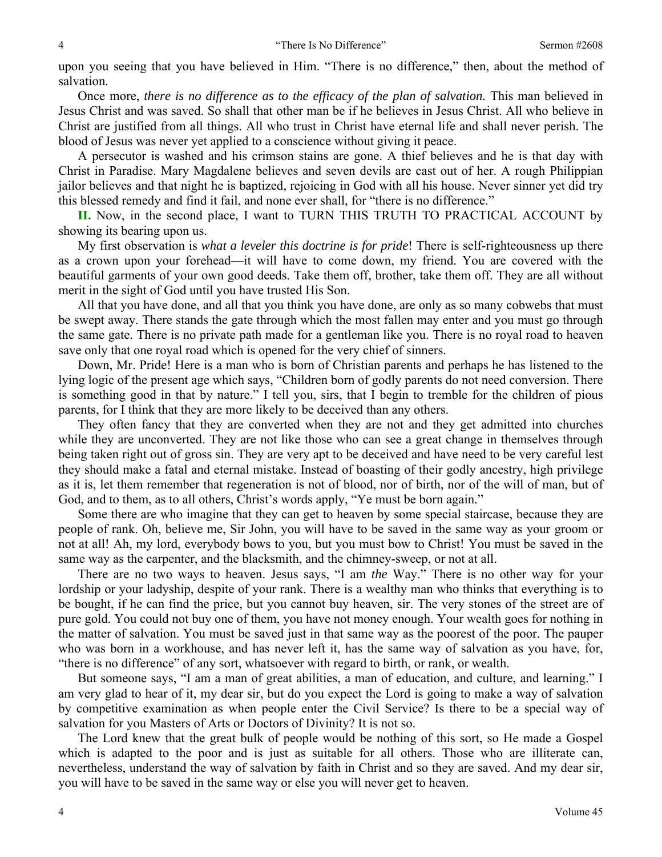upon you seeing that you have believed in Him. "There is no difference," then, about the method of salvation.

 Once more, *there is no difference as to the efficacy of the plan of salvation.* This man believed in Jesus Christ and was saved. So shall that other man be if he believes in Jesus Christ. All who believe in Christ are justified from all things. All who trust in Christ have eternal life and shall never perish. The blood of Jesus was never yet applied to a conscience without giving it peace.

 A persecutor is washed and his crimson stains are gone. A thief believes and he is that day with Christ in Paradise. Mary Magdalene believes and seven devils are cast out of her. A rough Philippian jailor believes and that night he is baptized, rejoicing in God with all his house. Never sinner yet did try this blessed remedy and find it fail, and none ever shall, for "there is no difference."

**II.** Now, in the second place, I want to TURN THIS TRUTH TO PRACTICAL ACCOUNT by showing its bearing upon us.

 My first observation is *what a leveler this doctrine is for pride*! There is self-righteousness up there as a crown upon your forehead—it will have to come down, my friend. You are covered with the beautiful garments of your own good deeds. Take them off, brother, take them off. They are all without merit in the sight of God until you have trusted His Son.

 All that you have done, and all that you think you have done, are only as so many cobwebs that must be swept away. There stands the gate through which the most fallen may enter and you must go through the same gate. There is no private path made for a gentleman like you. There is no royal road to heaven save only that one royal road which is opened for the very chief of sinners.

 Down, Mr. Pride! Here is a man who is born of Christian parents and perhaps he has listened to the lying logic of the present age which says, "Children born of godly parents do not need conversion. There is something good in that by nature." I tell you, sirs, that I begin to tremble for the children of pious parents, for I think that they are more likely to be deceived than any others.

 They often fancy that they are converted when they are not and they get admitted into churches while they are unconverted. They are not like those who can see a great change in themselves through being taken right out of gross sin. They are very apt to be deceived and have need to be very careful lest they should make a fatal and eternal mistake. Instead of boasting of their godly ancestry, high privilege as it is, let them remember that regeneration is not of blood, nor of birth, nor of the will of man, but of God, and to them, as to all others, Christ's words apply, "Ye must be born again."

 Some there are who imagine that they can get to heaven by some special staircase, because they are people of rank. Oh, believe me, Sir John, you will have to be saved in the same way as your groom or not at all! Ah, my lord, everybody bows to you, but you must bow to Christ! You must be saved in the same way as the carpenter, and the blacksmith, and the chimney-sweep, or not at all.

 There are no two ways to heaven. Jesus says, "I am *the* Way." There is no other way for your lordship or your ladyship, despite of your rank. There is a wealthy man who thinks that everything is to be bought, if he can find the price, but you cannot buy heaven, sir. The very stones of the street are of pure gold. You could not buy one of them, you have not money enough. Your wealth goes for nothing in the matter of salvation. You must be saved just in that same way as the poorest of the poor. The pauper who was born in a workhouse, and has never left it, has the same way of salvation as you have, for, "there is no difference" of any sort, whatsoever with regard to birth, or rank, or wealth.

 But someone says, "I am a man of great abilities, a man of education, and culture, and learning." I am very glad to hear of it, my dear sir, but do you expect the Lord is going to make a way of salvation by competitive examination as when people enter the Civil Service? Is there to be a special way of salvation for you Masters of Arts or Doctors of Divinity? It is not so.

 The Lord knew that the great bulk of people would be nothing of this sort, so He made a Gospel which is adapted to the poor and is just as suitable for all others. Those who are illiterate can, nevertheless, understand the way of salvation by faith in Christ and so they are saved. And my dear sir, you will have to be saved in the same way or else you will never get to heaven.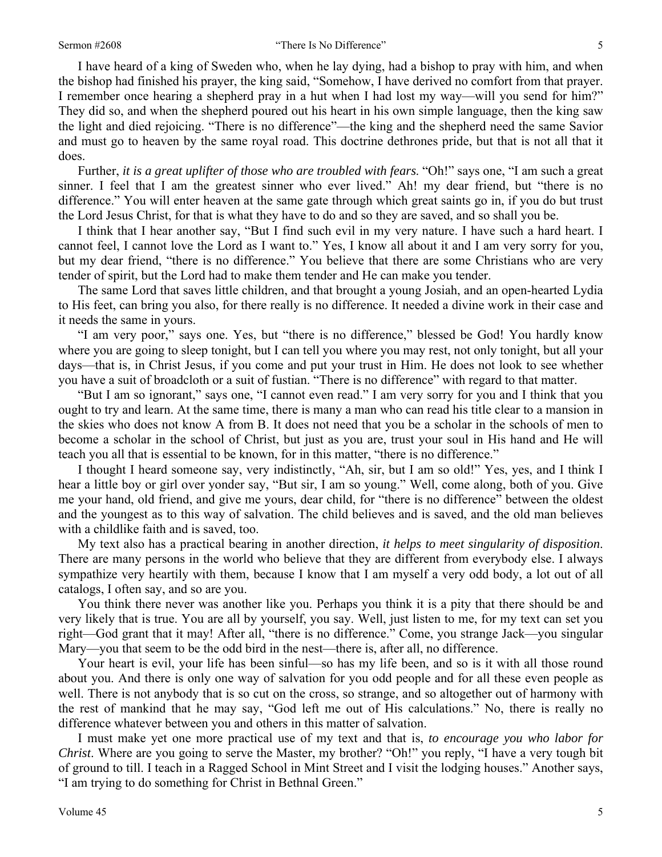I have heard of a king of Sweden who, when he lay dying, had a bishop to pray with him, and when the bishop had finished his prayer, the king said, "Somehow, I have derived no comfort from that prayer. I remember once hearing a shepherd pray in a hut when I had lost my way—will you send for him?" They did so, and when the shepherd poured out his heart in his own simple language, then the king saw the light and died rejoicing. "There is no difference"—the king and the shepherd need the same Savior and must go to heaven by the same royal road. This doctrine dethrones pride, but that is not all that it does.

 Further, *it is a great uplifter of those who are troubled with fears*. "Oh!" says one, "I am such a great sinner. I feel that I am the greatest sinner who ever lived." Ah! my dear friend, but "there is no difference." You will enter heaven at the same gate through which great saints go in, if you do but trust the Lord Jesus Christ, for that is what they have to do and so they are saved, and so shall you be.

 I think that I hear another say, "But I find such evil in my very nature. I have such a hard heart. I cannot feel, I cannot love the Lord as I want to." Yes, I know all about it and I am very sorry for you, but my dear friend, "there is no difference." You believe that there are some Christians who are very tender of spirit, but the Lord had to make them tender and He can make you tender.

 The same Lord that saves little children, and that brought a young Josiah, and an open-hearted Lydia to His feet, can bring you also, for there really is no difference. It needed a divine work in their case and it needs the same in yours.

 "I am very poor," says one. Yes, but "there is no difference," blessed be God! You hardly know where you are going to sleep tonight, but I can tell you where you may rest, not only tonight, but all your days—that is, in Christ Jesus, if you come and put your trust in Him. He does not look to see whether you have a suit of broadcloth or a suit of fustian. "There is no difference" with regard to that matter.

 "But I am so ignorant," says one, "I cannot even read." I am very sorry for you and I think that you ought to try and learn. At the same time, there is many a man who can read his title clear to a mansion in the skies who does not know A from B. It does not need that you be a scholar in the schools of men to become a scholar in the school of Christ, but just as you are, trust your soul in His hand and He will teach you all that is essential to be known, for in this matter, "there is no difference."

 I thought I heard someone say, very indistinctly, "Ah, sir, but I am so old!" Yes, yes, and I think I hear a little boy or girl over yonder say, "But sir, I am so young." Well, come along, both of you. Give me your hand, old friend, and give me yours, dear child, for "there is no difference" between the oldest and the youngest as to this way of salvation. The child believes and is saved, and the old man believes with a childlike faith and is saved, too.

 My text also has a practical bearing in another direction, *it helps to meet singularity of disposition*. There are many persons in the world who believe that they are different from everybody else. I always sympathize very heartily with them, because I know that I am myself a very odd body, a lot out of all catalogs, I often say, and so are you.

 You think there never was another like you. Perhaps you think it is a pity that there should be and very likely that is true. You are all by yourself, you say. Well, just listen to me, for my text can set you right—God grant that it may! After all, "there is no difference." Come, you strange Jack—you singular Mary—you that seem to be the odd bird in the nest—there is, after all, no difference.

 Your heart is evil, your life has been sinful—so has my life been, and so is it with all those round about you. And there is only one way of salvation for you odd people and for all these even people as well. There is not anybody that is so cut on the cross, so strange, and so altogether out of harmony with the rest of mankind that he may say, "God left me out of His calculations." No, there is really no difference whatever between you and others in this matter of salvation.

 I must make yet one more practical use of my text and that is, *to encourage you who labor for Christ*. Where are you going to serve the Master, my brother? "Oh!" you reply, "I have a very tough bit of ground to till. I teach in a Ragged School in Mint Street and I visit the lodging houses." Another says, "I am trying to do something for Christ in Bethnal Green."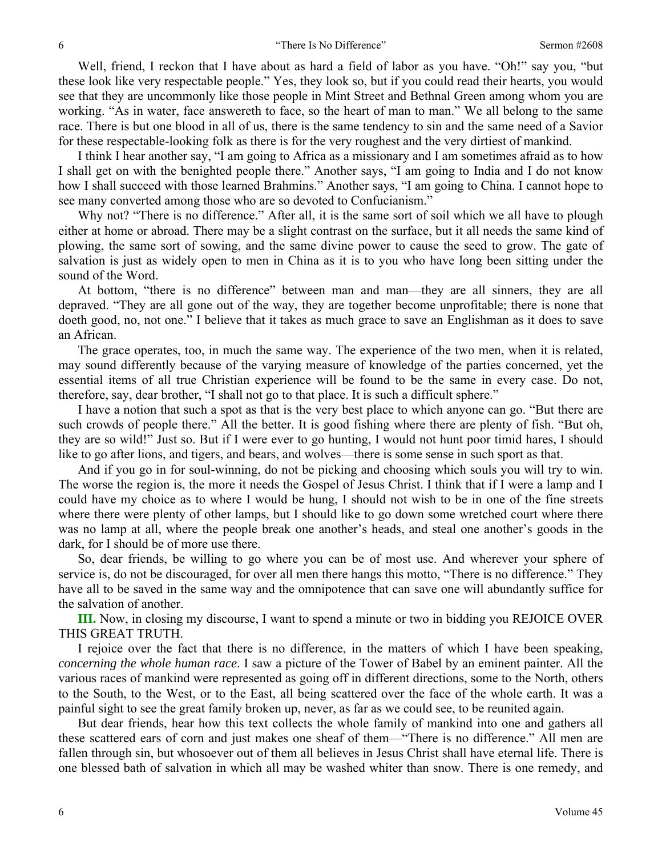Well, friend, I reckon that I have about as hard a field of labor as you have. "Oh!" say you, "but these look like very respectable people." Yes, they look so, but if you could read their hearts, you would see that they are uncommonly like those people in Mint Street and Bethnal Green among whom you are working. "As in water, face answereth to face, so the heart of man to man." We all belong to the same race. There is but one blood in all of us, there is the same tendency to sin and the same need of a Savior for these respectable-looking folk as there is for the very roughest and the very dirtiest of mankind.

 I think I hear another say, "I am going to Africa as a missionary and I am sometimes afraid as to how I shall get on with the benighted people there." Another says, "I am going to India and I do not know how I shall succeed with those learned Brahmins." Another says, "I am going to China. I cannot hope to see many converted among those who are so devoted to Confucianism."

Why not? "There is no difference." After all, it is the same sort of soil which we all have to plough either at home or abroad. There may be a slight contrast on the surface, but it all needs the same kind of plowing, the same sort of sowing, and the same divine power to cause the seed to grow. The gate of salvation is just as widely open to men in China as it is to you who have long been sitting under the sound of the Word.

 At bottom, "there is no difference" between man and man—they are all sinners, they are all depraved. "They are all gone out of the way, they are together become unprofitable; there is none that doeth good, no, not one." I believe that it takes as much grace to save an Englishman as it does to save an African.

 The grace operates, too, in much the same way. The experience of the two men, when it is related, may sound differently because of the varying measure of knowledge of the parties concerned, yet the essential items of all true Christian experience will be found to be the same in every case. Do not, therefore, say, dear brother, "I shall not go to that place. It is such a difficult sphere."

 I have a notion that such a spot as that is the very best place to which anyone can go. "But there are such crowds of people there." All the better. It is good fishing where there are plenty of fish. "But oh, they are so wild!" Just so. But if I were ever to go hunting, I would not hunt poor timid hares, I should like to go after lions, and tigers, and bears, and wolves—there is some sense in such sport as that.

 And if you go in for soul-winning, do not be picking and choosing which souls you will try to win. The worse the region is, the more it needs the Gospel of Jesus Christ. I think that if I were a lamp and I could have my choice as to where I would be hung, I should not wish to be in one of the fine streets where there were plenty of other lamps, but I should like to go down some wretched court where there was no lamp at all, where the people break one another's heads, and steal one another's goods in the dark, for I should be of more use there.

 So, dear friends, be willing to go where you can be of most use. And wherever your sphere of service is, do not be discouraged, for over all men there hangs this motto, "There is no difference." They have all to be saved in the same way and the omnipotence that can save one will abundantly suffice for the salvation of another.

**III.** Now, in closing my discourse, I want to spend a minute or two in bidding you REJOICE OVER THIS GREAT TRUTH.

 I rejoice over the fact that there is no difference, in the matters of which I have been speaking, *concerning the whole human race*. I saw a picture of the Tower of Babel by an eminent painter. All the various races of mankind were represented as going off in different directions, some to the North, others to the South, to the West, or to the East, all being scattered over the face of the whole earth. It was a painful sight to see the great family broken up, never, as far as we could see, to be reunited again.

 But dear friends, hear how this text collects the whole family of mankind into one and gathers all these scattered ears of corn and just makes one sheaf of them—"There is no difference." All men are fallen through sin, but whosoever out of them all believes in Jesus Christ shall have eternal life. There is one blessed bath of salvation in which all may be washed whiter than snow. There is one remedy, and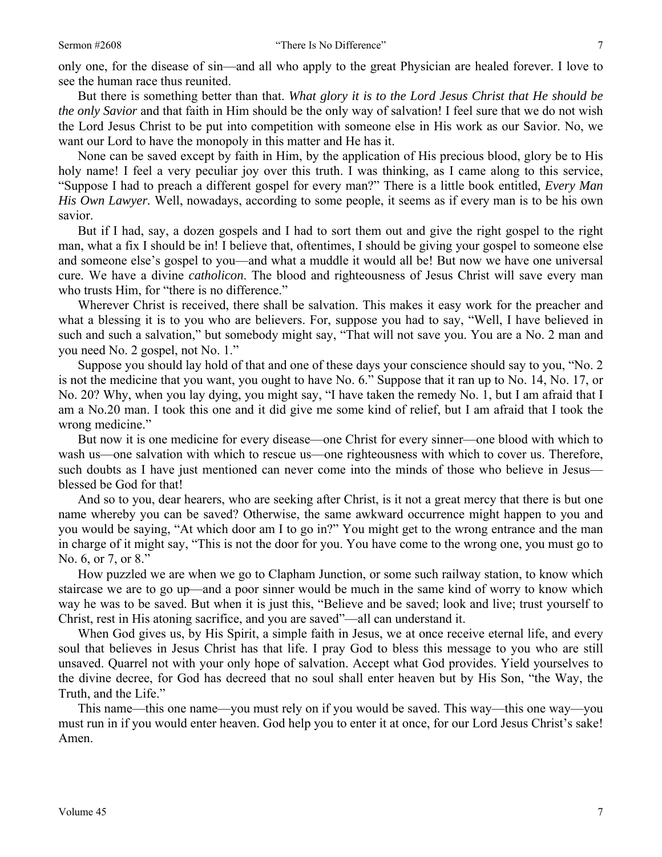only one, for the disease of sin—and all who apply to the great Physician are healed forever. I love to see the human race thus reunited.

 But there is something better than that. *What glory it is to the Lord Jesus Christ that He should be the only Savior* and that faith in Him should be the only way of salvation! I feel sure that we do not wish the Lord Jesus Christ to be put into competition with someone else in His work as our Savior. No, we want our Lord to have the monopoly in this matter and He has it.

 None can be saved except by faith in Him, by the application of His precious blood, glory be to His holy name! I feel a very peculiar joy over this truth. I was thinking, as I came along to this service, "Suppose I had to preach a different gospel for every man?" There is a little book entitled, *Every Man His Own Lawyer.* Well, nowadays, according to some people, it seems as if every man is to be his own savior.

 But if I had, say, a dozen gospels and I had to sort them out and give the right gospel to the right man, what a fix I should be in! I believe that, oftentimes, I should be giving your gospel to someone else and someone else's gospel to you—and what a muddle it would all be! But now we have one universal cure. We have a divine *catholicon*. The blood and righteousness of Jesus Christ will save every man who trusts Him, for "there is no difference."

 Wherever Christ is received, there shall be salvation. This makes it easy work for the preacher and what a blessing it is to you who are believers. For, suppose you had to say, "Well, I have believed in such and such a salvation," but somebody might say, "That will not save you. You are a No. 2 man and you need No. 2 gospel, not No. 1."

 Suppose you should lay hold of that and one of these days your conscience should say to you, "No. 2 is not the medicine that you want, you ought to have No. 6." Suppose that it ran up to No. 14, No. 17, or No. 20? Why, when you lay dying, you might say, "I have taken the remedy No. 1, but I am afraid that I am a No.20 man. I took this one and it did give me some kind of relief, but I am afraid that I took the wrong medicine."

 But now it is one medicine for every disease—one Christ for every sinner—one blood with which to wash us—one salvation with which to rescue us—one righteousness with which to cover us. Therefore, such doubts as I have just mentioned can never come into the minds of those who believe in Jesus blessed be God for that!

 And so to you, dear hearers, who are seeking after Christ, is it not a great mercy that there is but one name whereby you can be saved? Otherwise, the same awkward occurrence might happen to you and you would be saying, "At which door am I to go in?" You might get to the wrong entrance and the man in charge of it might say, "This is not the door for you. You have come to the wrong one, you must go to No. 6, or 7, or 8."

 How puzzled we are when we go to Clapham Junction, or some such railway station, to know which staircase we are to go up—and a poor sinner would be much in the same kind of worry to know which way he was to be saved. But when it is just this, "Believe and be saved; look and live; trust yourself to Christ, rest in His atoning sacrifice, and you are saved"—all can understand it.

 When God gives us, by His Spirit, a simple faith in Jesus, we at once receive eternal life, and every soul that believes in Jesus Christ has that life. I pray God to bless this message to you who are still unsaved. Quarrel not with your only hope of salvation. Accept what God provides. Yield yourselves to the divine decree, for God has decreed that no soul shall enter heaven but by His Son, "the Way, the Truth, and the Life."

 This name—this one name—you must rely on if you would be saved. This way—this one way—you must run in if you would enter heaven. God help you to enter it at once, for our Lord Jesus Christ's sake! Amen.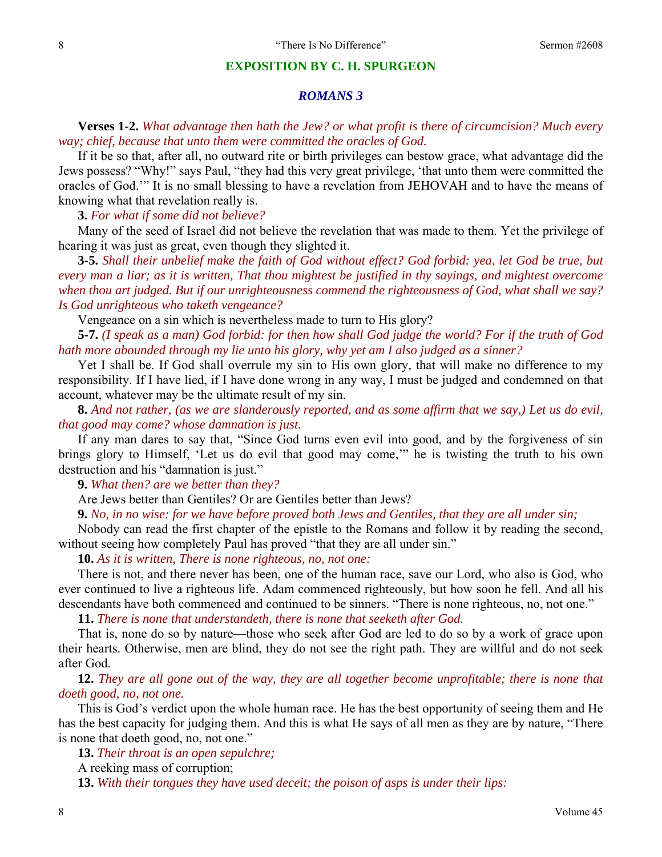### **EXPOSITION BY C. H. SPURGEON**

## *ROMANS 3*

**Verses 1-2.** *What advantage then hath the Jew? or what profit is there of circumcision? Much every way; chief, because that unto them were committed the oracles of God.* 

If it be so that, after all, no outward rite or birth privileges can bestow grace, what advantage did the Jews possess? "Why!" says Paul, "they had this very great privilege, 'that unto them were committed the oracles of God.'" It is no small blessing to have a revelation from JEHOVAH and to have the means of knowing what that revelation really is.

**3.** *For what if some did not believe?* 

Many of the seed of Israel did not believe the revelation that was made to them. Yet the privilege of hearing it was just as great, even though they slighted it.

 **3-5.** *Shall their unbelief make the faith of God without effect? God forbid: yea, let God be true, but every man a liar; as it is written, That thou mightest be justified in thy sayings, and mightest overcome when thou art judged. But if our unrighteousness commend the righteousness of God, what shall we say? Is God unrighteous who taketh vengeance?* 

Vengeance on a sin which is nevertheless made to turn to His glory?

**5-7.** *(I speak as a man) God forbid: for then how shall God judge the world? For if the truth of God hath more abounded through my lie unto his glory, why yet am I also judged as a sinner?* 

Yet I shall be. If God shall overrule my sin to His own glory, that will make no difference to my responsibility. If I have lied, if I have done wrong in any way, I must be judged and condemned on that account, whatever may be the ultimate result of my sin.

**8.** *And not rather, (as we are slanderously reported, and as some affirm that we say,) Let us do evil, that good may come? whose damnation is just.* 

If any man dares to say that, "Since God turns even evil into good, and by the forgiveness of sin brings glory to Himself, 'Let us do evil that good may come,'" he is twisting the truth to his own destruction and his "damnation is just."

**9.** *What then? are we better than they?* 

Are Jews better than Gentiles? Or are Gentiles better than Jews?

**9.** *No, in no wise: for we have before proved both Jews and Gentiles, that they are all under sin;* 

Nobody can read the first chapter of the epistle to the Romans and follow it by reading the second, without seeing how completely Paul has proved "that they are all under sin."

**10.** *As it is written, There is none righteous, no, not one:* 

There is not, and there never has been, one of the human race, save our Lord, who also is God, who ever continued to live a righteous life. Adam commenced righteously, but how soon he fell. And all his descendants have both commenced and continued to be sinners. "There is none righteous, no, not one."

**11.** *There is none that understandeth, there is none that seeketh after God.* 

That is, none do so by nature—those who seek after God are led to do so by a work of grace upon their hearts. Otherwise, men are blind, they do not see the right path. They are willful and do not seek after God.

**12.** *They are all gone out of the way, they are all together become unprofitable; there is none that doeth good, no, not one.* 

This is God's verdict upon the whole human race. He has the best opportunity of seeing them and He has the best capacity for judging them. And this is what He says of all men as they are by nature, "There is none that doeth good, no, not one."

**13.** *Their throat is an open sepulchre;* 

A reeking mass of corruption;

**13.** *With their tongues they have used deceit; the poison of asps is under their lips:*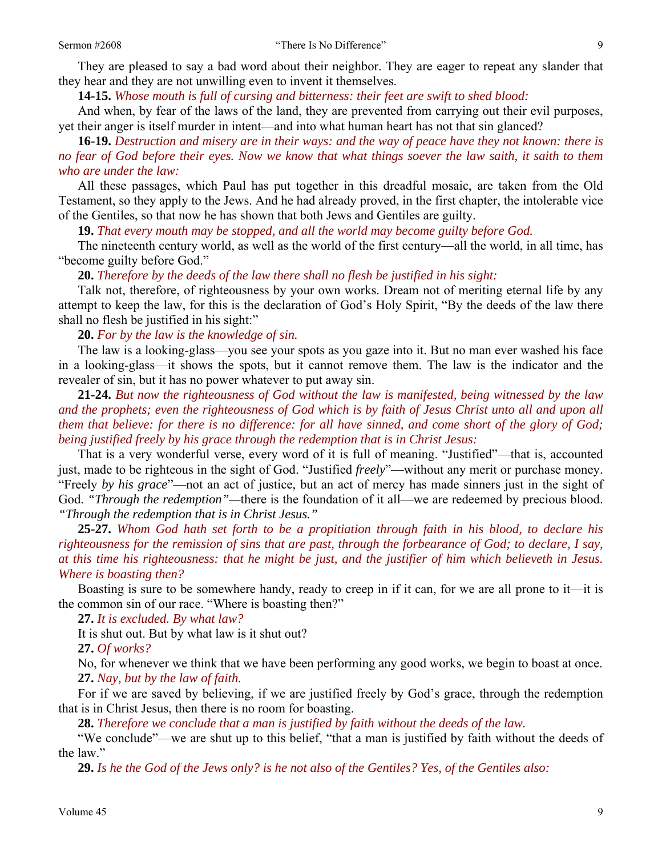They are pleased to say a bad word about their neighbor. They are eager to repeat any slander that they hear and they are not unwilling even to invent it themselves.

**14-15.** *Whose mouth is full of cursing and bitterness: their feet are swift to shed blood:* 

And when, by fear of the laws of the land, they are prevented from carrying out their evil purposes, yet their anger is itself murder in intent—and into what human heart has not that sin glanced?

**16-19.** *Destruction and misery are in their ways: and the way of peace have they not known: there is no fear of God before their eyes. Now we know that what things soever the law saith, it saith to them who are under the law:* 

All these passages, which Paul has put together in this dreadful mosaic, are taken from the Old Testament, so they apply to the Jews. And he had already proved, in the first chapter, the intolerable vice of the Gentiles, so that now he has shown that both Jews and Gentiles are guilty.

**19.** *That every mouth may be stopped, and all the world may become guilty before God.* 

The nineteenth century world, as well as the world of the first century—all the world, in all time, has "become guilty before God."

**20.** *Therefore by the deeds of the law there shall no flesh be justified in his sight:* 

Talk not, therefore, of righteousness by your own works. Dream not of meriting eternal life by any attempt to keep the law, for this is the declaration of God's Holy Spirit, "By the deeds of the law there shall no flesh be justified in his sight:"

 **20.** *For by the law is the knowledge of sin.* 

The law is a looking-glass—you see your spots as you gaze into it. But no man ever washed his face in a looking-glass—it shows the spots, but it cannot remove them. The law is the indicator and the revealer of sin, but it has no power whatever to put away sin.

**21-24.** *But now the righteousness of God without the law is manifested, being witnessed by the law*  and the prophets; even the righteousness of God which is by faith of Jesus Christ unto all and upon all *them that believe: for there is no difference: for all have sinned, and come short of the glory of God; being justified freely by his grace through the redemption that is in Christ Jesus:* 

That is a very wonderful verse, every word of it is full of meaning. "Justified"—that is, accounted just, made to be righteous in the sight of God. "Justified *freely*"—without any merit or purchase money. "Freely *by his grace*"—not an act of justice, but an act of mercy has made sinners just in the sight of God. *"Through the redemption"—*there is the foundation of it all—we are redeemed by precious blood. *"Through the redemption that is in Christ Jesus."* 

**25-27.** *Whom God hath set forth to be a propitiation through faith in his blood, to declare his righteousness for the remission of sins that are past, through the forbearance of God; to declare, I say, at this time his righteousness: that he might be just, and the justifier of him which believeth in Jesus. Where is boasting then?* 

Boasting is sure to be somewhere handy, ready to creep in if it can, for we are all prone to it—it is the common sin of our race. "Where is boasting then?"

**27.** *It is excluded. By what law?* 

It is shut out. But by what law is it shut out?

**27.** *Of works?* 

No, for whenever we think that we have been performing any good works, we begin to boast at once. **27.** *Nay, but by the law of faith.* 

For if we are saved by believing, if we are justified freely by God's grace, through the redemption that is in Christ Jesus, then there is no room for boasting.

**28.** *Therefore we conclude that a man is justified by faith without the deeds of the law.* 

"We conclude"—we are shut up to this belief, "that a man is justified by faith without the deeds of the law."

**29.** *Is he the God of the Jews only? is he not also of the Gentiles? Yes, of the Gentiles also:*